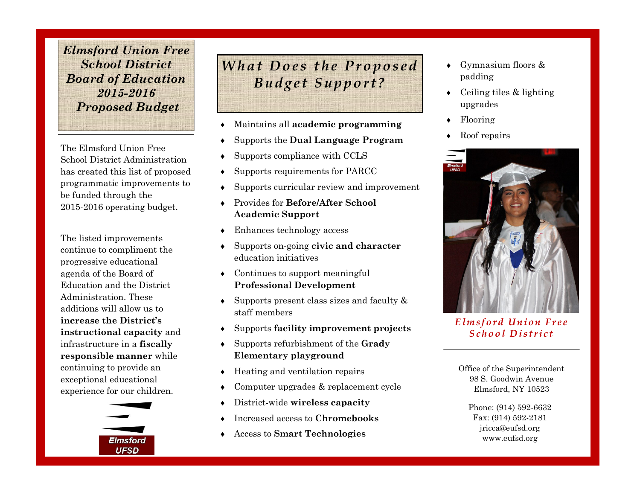*Elmsford Union Free School District Board of Education 2015-2016 Proposed Budget* 

The Elmsford Union Free School District Administration has created this list of proposed programmatic improvements to be funded through the 2015-2016 operating budget.

The listed improvements continue to compliment the progressive educational agenda of the Board of Education and the District Administration. These additions will allow us to **increase the District's instructional capacity** and infrastructure in a **fiscally responsible manner** while continuing to provide an exceptional educational experience for our children.



*What Does the Proposed B u d g e t S u p p o r t ?*

- Maintains all **academic programming**
- Supports the **Dual Language Program**
- Supports compliance with CCLS
- Supports requirements for PARCC
- Supports curricular review and improvement
- Provides for **Before/After School Academic Support**
- Enhances technology access
- Supports on-going **civic and character**  education initiatives
- Continues to support meaningful **Professional Development**
- $\bullet$  Supports present class sizes and faculty & staff members
- Supports **facility improvement projects**
- Supports refurbishment of the **Grady Elementary playground**
- Heating and ventilation repairs
- Computer upgrades & replacement cycle
- District-wide **wireless capacity**
- Increased access to **Chromebooks**
- Access to **Smart Technologies**
- Gymnasium floors & padding
- Ceiling tiles & lighting upgrades
- Flooring
- ◆ Roof repairs



*E l m s f o r d U n i o n F r e e S c h o o l D i s t r i c t*

Office of the Superintendent 98 S. Goodwin Avenue Elmsford, NY 10523

Phone: (914) 592-6632 Fax: (914) 592-2181 jricca@eufsd.org www.eufsd.org